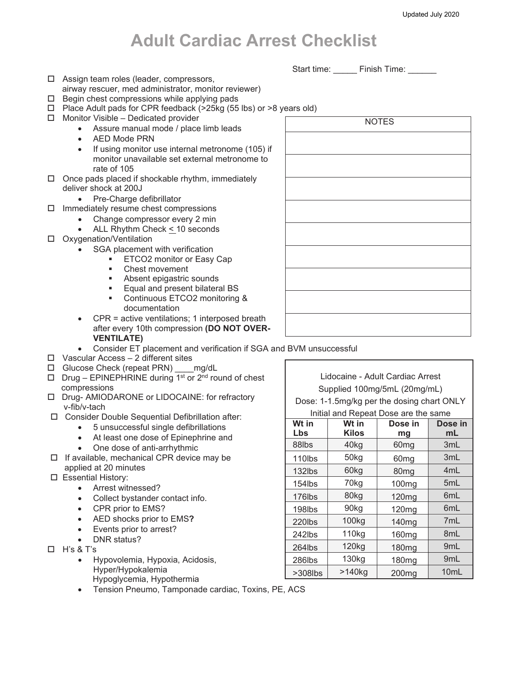## **Adult Cardiac Arrest Checklist**

Start time: Finish Time:

- □ Assign team roles (leader, compressors,
- airway rescuer, med administrator, monitor reviewer)
- $\Box$  Begin chest compressions while applying pads
- $\Box$  Place Adult pads for CPR feedback (>25kg (55 lbs) or >8 y
- $\Box$  Monitor Visible Dedicated provider
	- Assure manual mode / place limb leads
	- AED Mode PRN
	- If using monitor use internal metronome (105) if monitor unavailable set external metronome to rate of 105
- $\Box$  Once pads placed if shockable rhythm, immediately deliver shock at 200J
	- Pre-Charge defibrillator
- $\Box$  Immediately resume chest compressions
	- Change compressor every 2 min
		- ALL Rhythm Check < 10 seconds
- □ Oxygenation/Ventilation
	- SGA placement with verification
		- ETCO2 monitor or Easy Cap
		- **Chest movement**<br>Absent enigatric
		- Absent epigastric sounds
		- **Equal and present bilateral BS**
		- Continuous ETCO2 monitoring & documentation
	- CPR = active ventilations; 1 interposed breath after every 10th compression **(DO NOT OVER-VENTILATE)**
	- Consider ET placement and verification if SGA and BVM unsuccessful
- $\Box$  Vascular Access 2 different sites
- □ Glucose Check (repeat PRN) mg/dL
- $\Box$  Drug EPINEPHRINE during 1<sup>st</sup> or 2<sup>nd</sup> round of chest compressions
- Drug- AMIODARONE or LIDOCAINE: for refractory v-fib/v-tach
- Consider Double Sequential Defibrillation after:
	- 5 unsuccessful single defibrillations
	- At least one dose of Epinephrine and
	- One dose of anti-arrhythmic
- $\Box$  If available, mechanical CPR device may be applied at 20 minutes
- Essential History:
	- Arrest witnessed?
	- Collect bystander contact info.
	- CPR prior to EMS?
	- AED shocks prior to EMS**?**
	- Events prior to arrest?
	- DNR status?
- H's & T's
	- Hypovolemia, Hypoxia, Acidosis, Hyper/Hypokalemia Hypoglycemia, Hypothermia
	- Tension Pneumo, Tamponade cardiac, Toxins, PE, ACS

|              | years old) |  |  |  |  |  |
|--------------|------------|--|--|--|--|--|
| <b>NOTES</b> |            |  |  |  |  |  |
|              |            |  |  |  |  |  |
|              |            |  |  |  |  |  |
|              |            |  |  |  |  |  |
|              |            |  |  |  |  |  |
|              |            |  |  |  |  |  |
|              |            |  |  |  |  |  |
|              |            |  |  |  |  |  |
|              |            |  |  |  |  |  |
|              |            |  |  |  |  |  |
|              |            |  |  |  |  |  |

Lidocaine - Adult Cardiac Arrest Supplied 100mg/5mL (20mg/mL) Dose: 1-1.5mg/kg per the dosing chart ONLY

Initial and Repeat Dose are the same

| Wt in     | Wt in             | Dose in           | Dose in          |
|-----------|-------------------|-------------------|------------------|
| Lbs       | <b>Kilos</b>      | mg                | mL               |
| 88lbs     | 40kg              | 60 <sub>mg</sub>  | 3mL              |
| 110lbs    | 50kg              | 60 <sub>mg</sub>  | 3mL              |
| 132lbs    | 60kg              | 80 <sub>mg</sub>  | 4mL              |
| $154$ lbs | 70kg              | 100 <sub>mg</sub> | 5mL              |
| 176lbs    | 80kg              | 120 <sub>mg</sub> | 6 <sub>m</sub> L |
| 198lbs    | 90kg              | 120 <sub>mg</sub> | 6 <sub>m</sub> L |
| $220$ lbs | 100 <sub>kg</sub> | 140 <sub>mg</sub> | 7mL              |
| 242lbs    | 110 <sub>kg</sub> | 160 <sub>mg</sub> | 8mL              |
| $264$ lbs | 120 <sub>kg</sub> | 180 <sub>mg</sub> | 9mL              |
| 286lbs    | 130 <sub>kg</sub> | 180 <sub>mg</sub> | 9 <sub>mL</sub>  |
| >308lbs   | >140kg            | 200 <sub>mg</sub> | 10 <sub>mL</sub> |